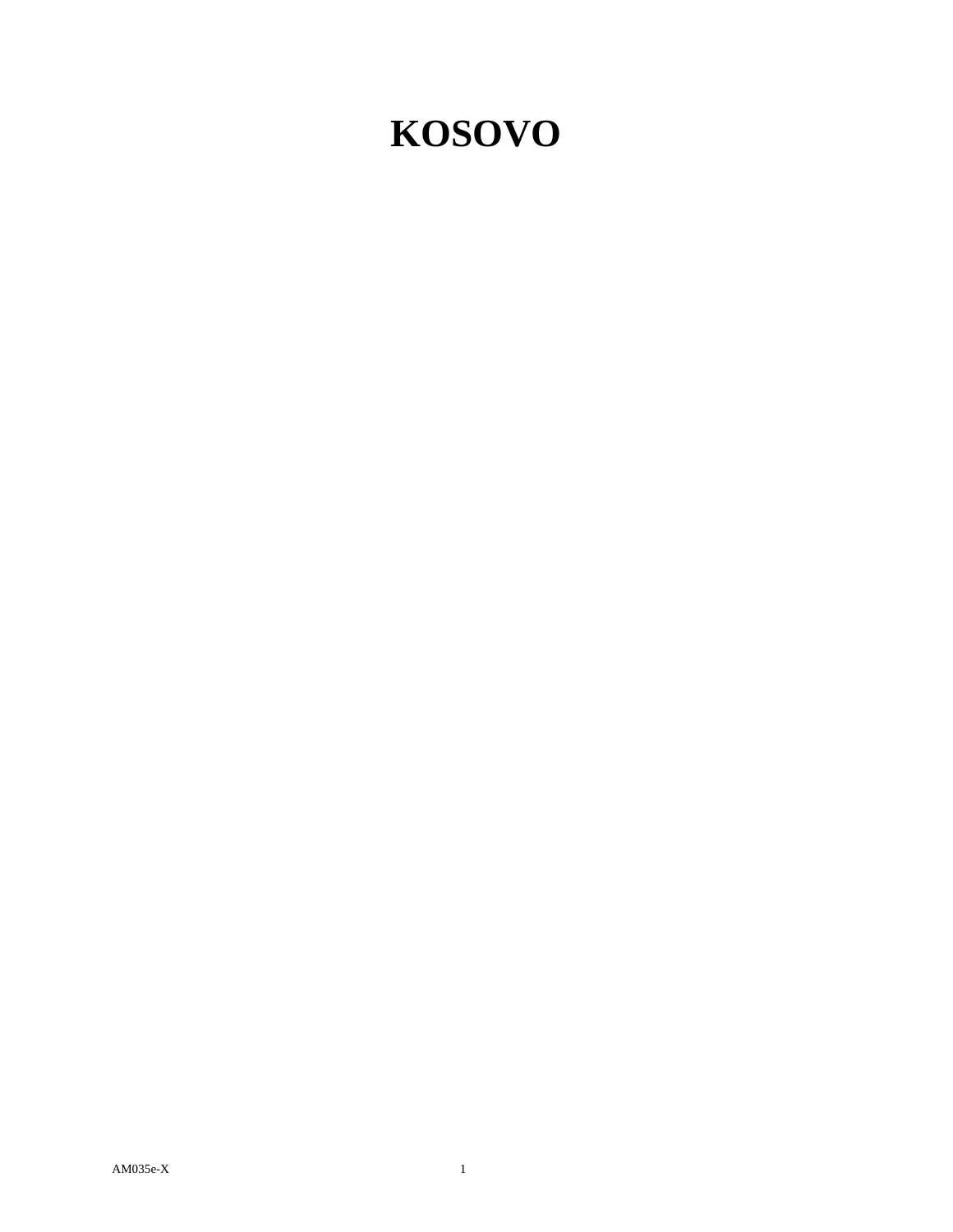## **KOSOVO**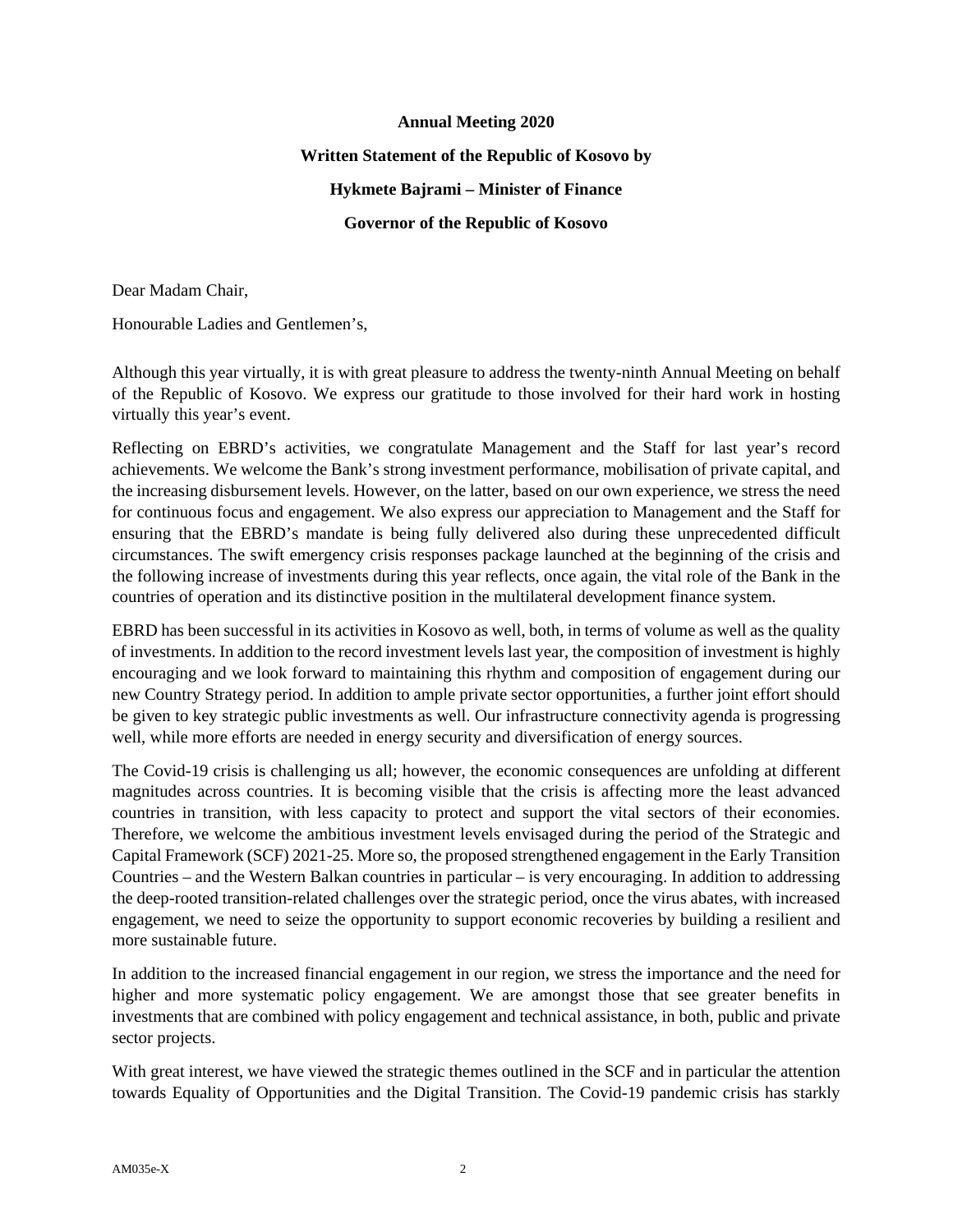## **Annual Meeting 2020 Written Statement of the Republic of Kosovo by Hykmete Bajrami – Minister of Finance Governor of the Republic of Kosovo**

Dear Madam Chair,

Honourable Ladies and Gentlemen's,

Although this year virtually, it is with great pleasure to address the twenty-ninth Annual Meeting on behalf of the Republic of Kosovo. We express our gratitude to those involved for their hard work in hosting virtually this year's event.

Reflecting on EBRD's activities, we congratulate Management and the Staff for last year's record achievements. We welcome the Bank's strong investment performance, mobilisation of private capital, and the increasing disbursement levels. However, on the latter, based on our own experience, we stress the need for continuous focus and engagement. We also express our appreciation to Management and the Staff for ensuring that the EBRD's mandate is being fully delivered also during these unprecedented difficult circumstances. The swift emergency crisis responses package launched at the beginning of the crisis and the following increase of investments during this year reflects, once again, the vital role of the Bank in the countries of operation and its distinctive position in the multilateral development finance system.

EBRD has been successful in its activities in Kosovo as well, both, in terms of volume as well as the quality of investments. In addition to the record investment levels last year, the composition of investment is highly encouraging and we look forward to maintaining this rhythm and composition of engagement during our new Country Strategy period. In addition to ample private sector opportunities, a further joint effort should be given to key strategic public investments as well. Our infrastructure connectivity agenda is progressing well, while more efforts are needed in energy security and diversification of energy sources.

The Covid-19 crisis is challenging us all; however, the economic consequences are unfolding at different magnitudes across countries. It is becoming visible that the crisis is affecting more the least advanced countries in transition, with less capacity to protect and support the vital sectors of their economies. Therefore, we welcome the ambitious investment levels envisaged during the period of the Strategic and Capital Framework (SCF) 2021-25. More so, the proposed strengthened engagement in the Early Transition Countries – and the Western Balkan countries in particular – is very encouraging. In addition to addressing the deep-rooted transition-related challenges over the strategic period, once the virus abates, with increased engagement, we need to seize the opportunity to support economic recoveries by building a resilient and more sustainable future.

In addition to the increased financial engagement in our region, we stress the importance and the need for higher and more systematic policy engagement. We are amongst those that see greater benefits in investments that are combined with policy engagement and technical assistance, in both, public and private sector projects.

With great interest, we have viewed the strategic themes outlined in the SCF and in particular the attention towards Equality of Opportunities and the Digital Transition. The Covid-19 pandemic crisis has starkly